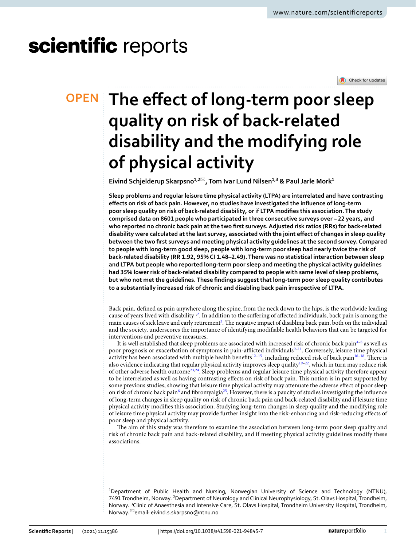# scientific reports



# **The efect of long‑term poor sleep OPEN quality on risk of back‑related disability and the modifying role of physical activity**

**Eivind Schjelderup Skarpsno1,2**\***, Tom Ivar Lund Nilsen1,3 & Paul Jarle Mork1**

**Sleep problems and regular leisure time physical activity (LTPA) are interrelated and have contrasting efects on risk of back pain. However, no studies have investigated the infuence of long-term poor sleep quality on risk of back-related disability, or if LTPA modifes this association. The study comprised data on 8601 people who participated in three consecutive surveys over ~22 years, and who reported no chronic back pain at the two frst surveys. Adjusted risk ratios (RRs) for back-related disability were calculated at the last survey, associated with the joint efect of changes in sleep quality between the two frst surveys and meeting physical activity guidelines at the second survey. Compared to people with long-term good sleep, people with long-term poor sleep had nearly twice the risk of back-related disability (RR 1.92, 95% CI 1.48–2.49). There was no statistical interaction between sleep and LTPA but people who reported long-term poor sleep and meeting the physical activity guidelines had 35% lower risk of back-related disability compared to people with same level of sleep problems, but who not met the guidelines. These fndings suggest that long-term poor sleep quality contributes to a substantially increased risk of chronic and disabling back pain irrespective of LTPA.**

Back pain, defned as pain anywhere along the spine, from the neck down to the hips, is the worldwide leading cause of years lived with disability<sup>[1,](#page-5-0)[2](#page-5-1)</sup>. In addition to the suffering of affected individuals, back pain is among the main causes of sick leave and early retirement<sup>[3](#page-5-2)</sup>. The negative impact of disabling back pain, both on the individual and the society, underscores the importance of identifying modifable health behaviors that can be targeted for interventions and preventive measures.

It is well established that sleep problems are associated with increased risk of chronic back pain<sup>4[–8](#page-5-4)</sup> as well as poor prognosis or exacerbation of symptoms in pain-afflicted individuals<sup>[9](#page-5-5)[–11](#page-5-6)</sup>. Conversely, leisure time physical activity has been associated with multiple health benefits<sup>[12](#page-5-7)–[15](#page-5-8)</sup>, including reduced risk of back pain<sup>16–18</sup>. There is also evidence indicating that regular physical activity improves sleep quality<sup>[19–](#page-5-11)[22](#page-5-12)</sup>, which in turn may reduce risk of other adverse health outcom[e23](#page-5-13)[,24](#page-5-14). Sleep problems and regular leisure time physical activity therefore appear to be interrelated as well as having contrasting effects on risk of back pain. This notion is in part supported by some previous studies, showing that leisure time physical activity may attenuate the adverse efect of poor sleep on risk of chronic back pain<sup>[6](#page-5-15)</sup> and fibromyalgia<sup>25</sup>. However, there is a paucity of studies investigating the influence of long-term changes in sleep quality on risk of chronic back pain and back-related disability and if leisure time physical activity modifes this association. Studying long-term changes in sleep quality and the modifying role of leisure time physical activity may provide further insight into the risk-enhancing and risk-reducing efects of poor sleep and physical activity.

The aim of this study was therefore to examine the association between long-term poor sleep quality and risk of chronic back pain and back-related disability, and if meeting physical activity guidelines modify these associations.

<sup>1</sup>Department of Public Health and Nursing, Norwegian University of Science and Technology (NTNU), 7491 Trondheim, Norway. <sup>2</sup>Department of Neurology and Clinical Neurophysiology, St. Olavs Hospital, Trondheim, Norway. <sup>3</sup>Clinic of Anaesthesia and Intensive Care, St. Olavs Hospital, Trondheim University Hospital, Trondheim, Norway.<sup>⊠</sup>email: eivind.s.skarpsno@ntnu.no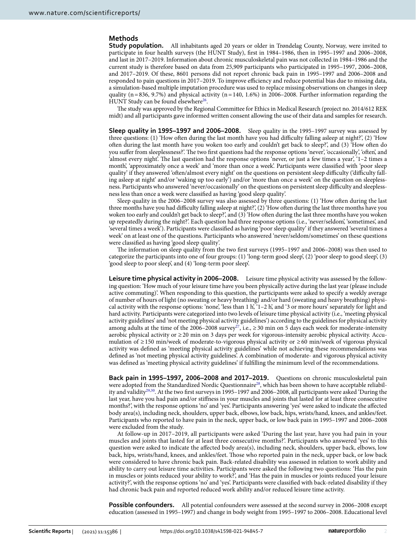# **Methods**

**Study population.** All inhabitants aged 20 years or older in Trøndelag County, Norway, were invited to participate in four health surveys (the HUNT Study), frst in 1984–1986, then in 1995–1997 and 2006–2008, and last in 2017–2019. Information about chronic musculoskeletal pain was not collected in 1984–1986 and the current study is therefore based on data from 25,909 participants who participated in 1995–1997, 2006–2008, and 2017–2019. Of these, 8601 persons did not report chronic back pain in 1995–1997 and 2006–2008 and responded to pain questions in 2017–2019. To improve efficiency and reduce potential bias due to missing data, a simulation-based multiple imputation procedure was used to replace missing observations on changes in sleep quality ( $n=836, 9.7%$ ) and physical activity ( $n=140, 1.6%$ ) in 2006–2008. Further information regarding the HUNT Study can be found elsewhere<sup>26</sup>.

The study was approved by the Regional Committee for Ethics in Medical Research (project no. 2014/612 REK midt) and all participants gave informed written consent allowing the use of their data and samples for research.

**Sleep quality in 1995–1997 and 2006–2008.** Sleep quality in the 1995–1997 survey was assessed by three questions: (1) 'How ofen during the last month have you had difculty falling asleep at night?', (2) 'How ofen during the last month have you woken too early and couldn't get back to sleep?', and (3) 'How ofen do you suffer from sleeplessness?'. The two first questions had the response options 'never', 'occasionally', 'often', and 'almost every night'. The last question had the response options 'never, or just a few times a year', '1–2 times a month', 'approximately once a week' and 'more than once a week'. Participants were classifed with 'poor sleep quality' if they answered 'often/almost every night' on the questions on persistent sleep difficulty ('difficulty falling asleep at night' and/or 'waking up too early') and/or 'more than once a week' on the question on sleeplessness. Participants who answered 'never/occasionally' on the questions on persistent sleep difculty and sleeplessness less than once a week were classifed as having 'good sleep quality'.

Sleep quality in the 2006–2008 survey was also assessed by three questions: (1) 'How ofen during the last three months have you had difculty falling asleep at night?', (2) 'How ofen during the last three months have you woken too early and couldn't get back to sleep?', and (3) 'How ofen during the last three months have you woken up repeatedly during the night?'. Each question had three response options (i.e., 'never/seldom', 'sometimes', and 'several times a week'). Participants were classifed as having 'poor sleep quality' if they answered 'several times a week' on at least one of the questions. Participants who answered 'never/seldom/sometimes' on these questions were classifed as having 'good sleep quality'.

The information on sleep quality from the two first surveys (1995–1997 and 2006–2008) was then used to categorize the participants into one of four groups: (1) 'long-term good sleep', (2) 'poor sleep to good sleep', (3) 'good sleep to poor sleep', and (4) 'long-term poor sleep'.

**Leisure time physical activity in 2006–2008.** Leisure time physical activity was assessed by the following question: 'How much of your leisure time have you been physically active during the last year (please include active commuting)'. When responding to this question, the participants were asked to specify a weekly average of number of hours of light (no sweating or heavy breathing) and/or hard (sweating and heavy breathing) physical activity with the response options: 'none', 'less than 1 h', '1–2 h', and '3 or more hours' separately for light and hard activity. Participants were categorized into two levels of leisure time physical activity (i.e., 'meeting physical activity guidelines' and 'not meeting physical activity guidelines') according to the guidelines for physical activity among adults at the time of the 2006–2008 survey<sup>27</sup>, i.e.,  $\geq$  30 min on 5 days each week for moderate-intensity aerobic physical activity or ≥20 min on 3 days per week for vigorous-intensity aerobic physical activity. Accumulation of ≥150 min/week of moderate-to-vigorous physical activity or ≥60 min/week of vigorous physical activity was defned as 'meeting physical activity guidelines' while not achieving these recommendations was defned as 'not meeting physical activity guidelines'. A combination of moderate- and vigorous physical activity was defned as 'meeting physical activity guidelines' if fulflling the minimum level of the recommendations.

**Back pain in 1995–1997, 2006–2008 and 2017–2019.** Questions on chronic musculoskeletal pain were adopted from the Standardized Nordic Questionnaire<sup>[28](#page-6-2)</sup>, which has been shown to have acceptable reliabil-ity and validity<sup>[29,](#page-6-3)30</sup>. At the two first surveys in 1995–1997 and 2006–2008, all participants were asked 'During the last year, have you had pain and/or stifness in your muscles and joints that lasted for at least three consecutive months?', with the response options 'no' and 'yes'. Participants answering 'yes' were asked to indicate the afected body area(s), including neck, shoulders, upper back, elbows, low back, hips, wrists/hand, knees, and ankles/feet. Participants who reported to have pain in the neck, upper back, or low back pain in 1995–1997 and 2006–2008 were excluded from the study.

At follow-up in 2017–2019, all participants were asked 'During the last year, have you had pain in your muscles and joints that lasted for at least three consecutive months?'. Participants who answered 'yes' to this question were asked to indicate the afected body area(s), including neck, shoulders, upper back, elbows, low back, hips, wrists/hand, knees, and ankles/feet. Those who reported pain in the neck, upper back, or low back were considered to have chronic back pain. Back-related disability was assessed in relation to work ability and ability to carry out leisure time activities. Participants were asked the following two questions: 'Has the pain in muscles or joints reduced your ability to work?', and 'Has the pain in muscles or joints reduced your leisure activity?', with the response options 'no' and 'yes'. Participants were classifed with back-related disability if they had chronic back pain and reported reduced work ability and/or reduced leisure time activity.

**Possible confounders.** All potential confounders were assessed at the second survey in 2006–2008 except education (assessed in 1995–1997) and change in body weight from 1995–1997 to 2006–2008. Educational level

2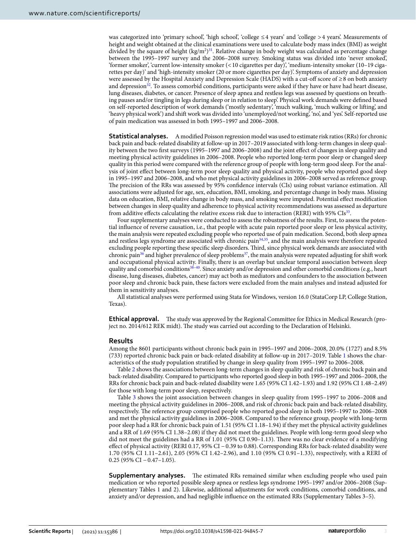was categorized into 'primary school', 'high school', 'college ≤4 years' and 'college >4 years'. Measurements of height and weight obtained at the clinical examinations were used to calculate body mass index (BMI) as weight divided by the square of height  $(kg/m^2)^{31}$  $(kg/m^2)^{31}$  $(kg/m^2)^{31}$ . Relative change in body weight was calculated as percentage change between the 1995–1997 survey and the 2006–2008 survey. Smoking status was divided into 'never smoked', 'former smoker', 'current low-intensity smoker (<10 cigarettes per day)', 'medium-intensity smoker (10–19 cigarettes per day)' and 'high-intensity smoker (20 or more cigarettes per day)'. Symptoms of anxiety and depression were assessed by the Hospital Anxiety and Depression Scale (HADS) with a cut-of score of ≥8 on both anxiety and depression<sup>32</sup>. To assess comorbid conditions, participants were asked if they have or have had heart disease, lung diseases, diabetes, or cancer. Presence of sleep apnea and restless legs was assessed by questions on breathing pauses and/or tingling in legs during sleep or in relation to sleep'. Physical work demands were defned based on self-reported description of work demands ('mostly sedentary', 'much walking, 'much walking or lifing', and 'heavy physical work') and shif work was divided into 'unemployed/not working', 'no', and 'yes'. Self-reported use of pain medication was assessed in both 1995–1997 and 2006–2008.

**Statistical analyses.** A modifed Poisson regression model was used to estimate risk ratios (RRs) for chronic back pain and back-related disability at follow-up in 2017–2019 associated with long-term changes in sleep quality between the two frst surveys (1995–1997 and 2006–2008) and the joint efect of changes in sleep quality and meeting physical activity guidelines in 2006–2008. People who reported long-term poor sleep or changed sleep quality in this period were compared with the reference group of people with long-term good sleep. For the analysis of joint efect between long-term poor sleep quality and physical activity, people who reported good sleep in 1995–1997 and 2006–2008, and who met physical activity guidelines in 2006–2008 served as reference group. The precision of the RRs was assessed by 95% confidence intervals (CIs) using robust variance estimation. All associations were adjusted for age, sex, education, BMI, smoking, and percentage change in body mass. Missing data on education, BMI, relative change in body mass, and smoking were imputed. Potential efect modifcation between changes in sleep quality and adherence to physical activity recommendations was assessed as departure from additive efects calculating the relative excess risk due to interaction (RERI) with 95% CI[s33](#page-6-7).

Four supplementary analyses were conducted to assess the robustness of the results. First, to assess the potential infuence of reverse causation, i.e., that people with acute pain reported poor sleep or less physical activity, the main analysis were repeated excluding people who reported use of pain medication. Second, both sleep apnea and restless legs syndrome are associated with chronic pain<sup>[34,](#page-6-8)35</sup>, and the main analysis were therefore repeated excluding people reporting these specifc sleep disorders. Tird, since physical work demands are associated with chronic pain<sup>[36](#page-6-10)</sup> and higher prevalence of sleep problems<sup>37</sup>, the main analysis were repeated adjusting for shift work and occupational physical activity. Finally, there is an overlap but unclear temporal association between sleep quality and comorbid conditions<sup>[38](#page-6-12)-40</sup>. Since anxiety and/or depression and other comorbid conditions (e.g., heart disease, lung diseases, diabetes, cancer) may act both as mediators and confounders to the association between poor sleep and chronic back pain, these factors were excluded from the main analyses and instead adjusted for them in sensitivity analyses.

All statistical analyses were performed using Stata for Windows, version 16.0 (StataCorp LP, College Station, Texas).

**Ethical approval.** The study was approved by the Regional Committee for Ethics in Medical Research (project no. 2014/612 REK midt). The study was carried out according to the Declaration of Helsinki.

#### **Results**

Among the 8601 participants without chronic back pain in 1995–1997 and 2006–2008, 20.0% (1727) and 8.5% (733) reported chronic back pain or back-related disability at follow-up in 2017–2019. Table [1](#page-3-0) shows the characteristics of the study population stratifed by change in sleep quality from 1995–1997 to 2006–2008.

Table [2](#page-3-1) shows the associations between long-term changes in sleep quality and risk of chronic back pain and back-related disability. Compared to participants who reported good sleep in both 1995–1997 and 2006–2008, the RRs for chronic back pain and back-related disability were 1.65 (95% CI 1.42–1.93) and 1.92 (95% CI 1.48–2.49) for those with long-term poor sleep, respectively.

Table [3](#page-4-0) shows the joint association between changes in sleep quality from 1995–1997 to 2006–2008 and meeting the physical activity guidelines in 2006–2008, and risk of chronic back pain and back-related disability, respectively. The reference group comprised people who reported good sleep in both 1995–1997 to 2006–2008 and met the physical activity guidelines in 2006–2008. Compared to the reference group, people with long-term poor sleep had a RR for chronic back pain of 1.51 (95% CI 1.18–1.94) if they met the physical activity guidelines and a RR of 1.69 (95% CI 1.38–2.08) if they did not meet the guidelines. People with long-term good sleep who did not meet the guidelines had a RR of 1.01 (95% CI 0.90-1.13). There was no clear evidence of a modifying efect of physical activity (RERI 0.17, 95% CI −0.39 to 0.88). Corresponding RRs for back-related disability were 1.70 (95% CI 1.11–2.61), 2.05 (95% CI 1.42–2.96), and 1.10 (95% CI 0.91–1.33), respectively, with a RERI of  $0.25$  (95% CI  $-0.47$ –1.05).

**Supplementary analyses.** The estimated RRs remained similar when excluding people who used pain medication or who reported possible sleep apnea or restless legs syndrome 1995–1997 and/or 2006–2008 (Supplementary Tables 1 and 2). Likewise, additional adjustments for work conditions, comorbid conditions, and anxiety and/or depression, and had negligible infuence on the estimated RRs (Supplementary Tables 3–5).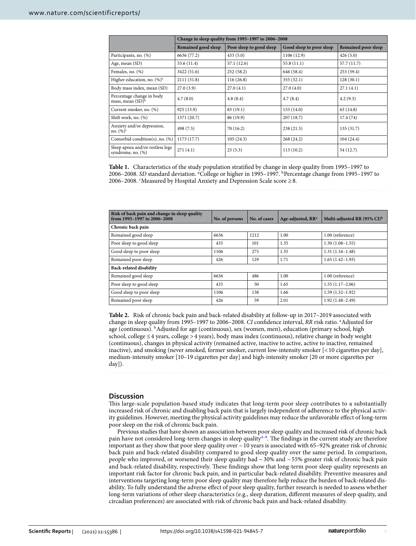|                                                       | Change in sleep quality from 1995-1997 to 2006-2008 |                          |                          |                     |  |  |  |
|-------------------------------------------------------|-----------------------------------------------------|--------------------------|--------------------------|---------------------|--|--|--|
|                                                       | Remained good sleep                                 | Poor sleep to good sleep | Good sleep to poor sleep | Remained poor sleep |  |  |  |
| Participants, no. (%)                                 | 6636 (77.2)                                         | 433 (5.0)                | 1106 (12.9)              | 426(5.0)            |  |  |  |
| Age, mean (SD)                                        | 53.6 (11.4)                                         | 57.1 (12.6)              | 55.8(11.1)               | 57.7 (11.7)         |  |  |  |
| Females, no. (%)                                      | 3422 (51.6)                                         | 252 (58.2)               | 646 (58.4)               | 253(59.4)           |  |  |  |
| Higher education, no. (%) <sup>a</sup>                | 2111 (31.8)                                         | 116(26.8)                | 355(32.1)                | 128(30.1)           |  |  |  |
| Body mass index, mean (SD)                            | 27.0(3.9)                                           | 27.0(4.1)                | 27.0(4.0)                | 27.1(4.1)           |  |  |  |
| Percentage change in body<br>mass, mean $(SD)^{b}$    | 4.7(8.0)                                            | 4.8(8.4)                 | 4.7(8.4)                 | 4.2(9.3)            |  |  |  |
| Current smoker, no. (%)                               | 925 (13.9)                                          | 83 (19.1)                | 155(14.0)                | 63 (14.8)           |  |  |  |
| Shift work, no. (%)                                   | 1371 (20.7)                                         | 86 (19.9)                | 207(18.7)                | 17.4 (74)           |  |  |  |
| Anxiety and/or depression,<br>no. $(\%)^c$            | 498 (7.5)                                           | 70 (16.2)                | 238(21.5)                | 135 (31.7)          |  |  |  |
| Comorbid condition(s), no. (%)                        | 1173 (17.7)                                         | 105(24.3)                | 268(24.2)                | 104(24.4)           |  |  |  |
| Sleep apnea and/or restless legs<br>syndrome, no. (%) | 271(4.1)                                            | 23(5.3)                  | 113(10.2)                | 54 (12.7)           |  |  |  |

<span id="page-3-0"></span>**Table 1.** Characteristics of the study population stratifed by change in sleep quality from 1995–1997 to 2006–2008. *SD* standard deviation. <sup>a</sup>College or higher in 1995–1997. <sup>b</sup>Percentage change from 1995–1997 to 2006–2008. 'Measured by Hospital Anxiety and Depression Scale score  $\geq 8$ .

| Risk of back pain and change in sleep quality<br>from 1995-1997 to 2006-2008 | No. of persons | No. of cases | Age-adjusted, RR <sup>a</sup> | Multi-adjusted RR $(95\% \text{ CI})^b$ |  |  |  |  |
|------------------------------------------------------------------------------|----------------|--------------|-------------------------------|-----------------------------------------|--|--|--|--|
| Chronic back pain                                                            |                |              |                               |                                         |  |  |  |  |
| Remained good sleep                                                          | 6636           | 1212         | 1.00                          | 1.00 (reference)                        |  |  |  |  |
| Poor sleep to good sleep                                                     | 433            | 101          | 1.35                          | $1.30(1.08-1.55)$                       |  |  |  |  |
| Good sleep to poor sleep                                                     | 1106           | 275          | 1.35                          | $1.31(1.16-1.48)$                       |  |  |  |  |
| Remained poor sleep                                                          | 426            | 129          | 1.71                          | $1.65(1.42-1.93)$                       |  |  |  |  |
| <b>Back-related disability</b>                                               |                |              |                               |                                         |  |  |  |  |
| Remained good sleep                                                          | 6636           | 486          | 1.00                          | 1.00 (reference)                        |  |  |  |  |
| Poor sleep to good sleep                                                     | 433            | 50           | 1.65                          | $1.55(1.17-2.06)$                       |  |  |  |  |
| Good sleep to poor sleep                                                     | 1106           | 138          | 1.66                          | $1.59(1.32-1.92)$                       |  |  |  |  |
| Remained poor sleep                                                          | 426            | 59           | 2.01                          | $1.92(1.48 - 2.49)$                     |  |  |  |  |

<span id="page-3-1"></span>**Table 2.** Risk of chronic back pain and back-related disability at follow-up in 2017–2019 associated with change in sleep quality from 1995–1997 to 2006–2008. *CI* confdence interval, *RR* risk ratio. a Adjusted for age (continuous). <sup>b</sup>Adjusted for age (continuous), sex (women, men), education (primary school, high school, college ≤4 years, college >4 years), body mass index (continuous), relative change in body weight (continuous), changes in physical activity (remained active, inactive to active, active to inactive, remained inactive), and smoking (never smoked, former smoker, current low-intensity smoker [<10 cigarettes per day], medium-intensity smoker [10–19 cigarettes per day] and high-intensity smoker [20 or more cigarettes per day]).

#### **Discussion**

Tis large-scale population-based study indicates that long-term poor sleep contributes to a substantially increased risk of chronic and disabling back pain that is largely independent of adherence to the physical activity guidelines. However, meeting the physical activity guidelines may reduce the unfavorable efect of long-term poor sleep on the risk of chronic back pain.

Previous studies that have shown an association between poor sleep quality and increased risk of chronic back pain have not considered long-term changes in sleep quality<sup>4-[8](#page-5-4)</sup>. The findings in the current study are therefore important as they show that poor sleep quality over  $\sim$  10 years is associated with 65–92% greater risk of chronic back pain and back-related disability compared to good sleep quality over the same period. In comparison, people who improved, or worsened their sleep quality had  $\sim$  30% and  $\sim$  55% greater risk of chronic back pain and back-related disability, respectively. These findings show that long-term poor sleep quality represents an important risk factor for chronic back pain, and in particular back-related disability. Preventive measures and interventions targeting long-term poor sleep quality may therefore help reduce the burden of back-related disability. To fully understand the adverse efect of poor sleep quality, further research is needed to assess whether long-term variations of other sleep characteristics (e.g., sleep duration, diferent measures of sleep quality, and circadian preferences) are associated with risk of chronic back pain and back-related disability.

4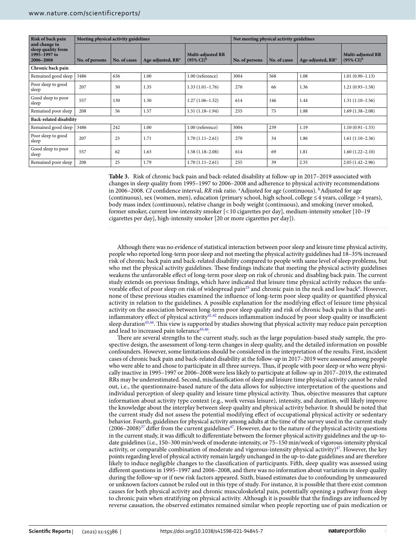| Risk of back pain                                                | Meeting physical activity guidelines |              |                               |                                                   | Not meeting physical activity guidelines |              |                               |                                                   |  |
|------------------------------------------------------------------|--------------------------------------|--------------|-------------------------------|---------------------------------------------------|------------------------------------------|--------------|-------------------------------|---------------------------------------------------|--|
| and change in<br>sleep quality from<br>1995-1997 to<br>2006-2008 | No. of persons                       | No. of cases | Age-adjusted, RR <sup>a</sup> | <b>Multi-adjusted RR</b><br>$(95\% \text{ CI})^b$ | No. of persons                           | No. of cases | Age-adjusted, RR <sup>a</sup> | <b>Multi-adiusted RR</b><br>$(95\% \text{ CI})^b$ |  |
| Chronic back pain                                                |                                      |              |                               |                                                   |                                          |              |                               |                                                   |  |
| Remained good sleep                                              | 3486                                 | 636          | 1.00                          | 1.00 (reference)                                  | 3004                                     | 568          | 1.08                          | $1.01(0.90 - 1.13)$                               |  |
| Poor sleep to good<br>sleep                                      | 207                                  | 50           | 1.35                          | $1.33(1.01-1.76)$                                 | 270                                      | 66           | 1.36                          | $1.21(0.93 - 1.58)$                               |  |
| Good sleep to poor<br>sleep                                      | 557                                  | 130          | 1.30                          | $1.27(1.06-1.52)$                                 | 614                                      | 146          | 1.44                          | $1.31(1.10-1.56)$                                 |  |
| Remained poor sleep                                              | 208                                  | 56           | 1.57                          | $1.51(1.18-1.94)$                                 | 255                                      | 75           | 1.88                          | $1.69(1.38-2.08)$                                 |  |
| <b>Back-related disability</b>                                   |                                      |              |                               |                                                   |                                          |              |                               |                                                   |  |
| Remained good sleep                                              | 3486                                 | 242          | 1.00                          | 1.00 (reference)                                  | 3004                                     | 239          | 1.19                          | $1.10(0.91 - 1.33)$                               |  |
| Poor sleep to good<br>sleep                                      | 207                                  | 23           | 1.71                          | $1.70(1.11-2.61)$                                 | 270                                      | 34           | 1.86                          | $1.61(1.10-2.36)$                                 |  |
| Good sleep to poor<br>sleep                                      | 557                                  | 62           | 1.63                          | $1.58(1.18-2.08)$                                 | 614                                      | 69           | 1.81                          | $1.60(1.22 - 2.10)$                               |  |
| Remained poor sleep                                              | 208                                  | 25           | 1.79                          | $1.70(1.11-2.61)$                                 | 255                                      | 39           | 2.35                          | $2.05(1.42 - 2.96)$                               |  |

<span id="page-4-0"></span>**Table 3.** Risk of chronic back pain and back-related disability at follow-up in 2017–2019 associated with changes in sleep quality from 1995–1997 to 2006–2008 and adherence to physical activity recommendations in 2006–2008. *CI* confidence interval, *RR* risk ratio. <sup>a</sup>Adjusted for age (continuous). <sup>b</sup>Adjusted for age (continuous), sex (women, men), education (primary school, high school, college ≤4 years, college >4 years), body mass index (continuous), relative change in body weight (continuous), and smoking (never smoked, former smoker, current low-intensity smoker [<10 cigarettes per day], medium-intensity smoker [10–19 cigarettes per day], high-intensity smoker [20 or more cigarettes per day]).

Although there was no evidence of statistical interaction between poor sleep and leisure time physical activity, people who reported long-term poor sleep and not meeting the physical activity guidelines had 18–35% increased risk of chronic back pain and back-related disability compared to people with same level of sleep problems, but who met the physical activity guidelines. These findings indicate that meeting the physical activity guidelines weakens the unfavorable effect of long-term poor sleep on risk of chronic and disabling back pain. The current study extends on previous fndings, which have indicated that leisure time physical activity reduces the unfa-vorable effect of poor sleep on risk of widespread pain<sup>25</sup> and chronic pain in the neck and low back<sup>[6](#page-5-15)</sup>. However, none of these previous studies examined the infuence of long-term poor sleep quality or quantifed physical activity in relation to the guidelines. A possible explanation for the modifying efect of leisure time physical activity on the association between long-term poor sleep quality and risk of chronic back pain is that the antiinflammatory effect of physical activity $41.42$  reduces inflammation induced by poor sleep quality or insufficient sleep duration<sup>43,[44](#page-6-17)</sup>. This view is supported by studies showing that physical activity may reduce pain perception and lead to increased pain tolerance<sup>[45,](#page-6-18)46</sup>.

There are several strengths to the current study, such as the large population-based study sample, the prospective design, the assessment of long-term changes in sleep quality, and the detailed information on possible confounders. However, some limitations should be considered in the interpretation of the results. First, incident cases of chronic back pain and back-related disability at the follow-up in 2017–2019 were assessed among people who were able to and chose to participate in all three surveys. Thus, if people with poor sleep or who were physically inactive in 1995–1997 or 2006–2008 were less likely to participate at follow-up in 2017–2019, the estimated RRs may be underestimated. Second, misclassifcation of sleep and leisure time physical activity cannot be ruled out, i.e., the questionnaire-based nature of the data allows for subjective interpretation of the questions and individual perception of sleep quality and leisure time physical activity. Tus, objective measures that capture information about activity type context (e.g., work versus leisure), intensity, and duration, will likely improve the knowledge about the interplay between sleep quality and physical activity behavior. It should be noted that the current study did not assess the potential modifying efect of occupational physical activity or sedentary behavior. Fourth, guidelines for physical activity among adults at the time of the survey used in the current study  $(2006-2008)^{27}$  $(2006-2008)^{27}$  $(2006-2008)^{27}$  differ from the current guidelines<sup>47</sup>. However, due to the nature of the physical activity questions in the current study, it was difcult to diferentiate between the former physical activity guidelines and the up-todate guidelines (i.e., 150–300 min/week of moderate-intensity, or 75–150 min/week of vigorous-intensity physical activity, or comparable combination of moderate and vigorous-intensity physical activity)<sup>47</sup>. However, the key points regarding level of physical activity remain largely unchanged in the up-to-date guidelines and are therefore likely to induce negligible changes to the classifcation of participants. Fifh, sleep quality was assessed using diferent questions in 1995–1997 and 2006–2008, and there was no information about variations in sleep quality during the follow‐up or if new risk factors appeared. Sixth, biased estimates due to confounding by unmeasured or unknown factors cannot be ruled out in this type of study. For instance, it is possible that there exist common causes for both physical activity and chronic musculoskeletal pain, potentially opening a pathway from sleep to chronic pain when stratifying on physical activity. Although it is possible that the fndings are infuenced by reverse causation, the observed estimates remained similar when people reporting use of pain medication or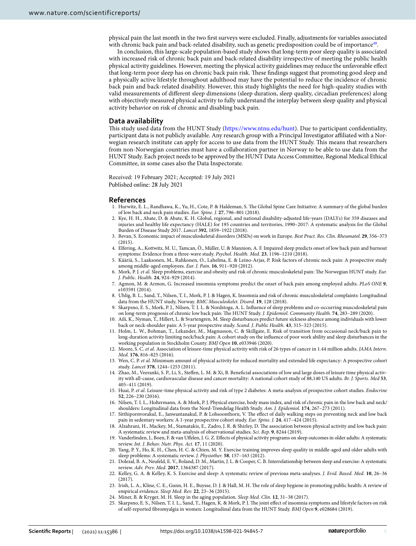physical pain the last month in the two frst surveys were excluded. Finally, adjustments for variables associated with chronic back pain and back-related disability, such as genetic predisposition could be of importance<sup>48</sup>.

In conclusion, this large-scale population-based study shows that long-term poor sleep quality is associated with increased risk of chronic back pain and back-related disability irrespective of meeting the public health physical activity guidelines. However, meeting the physical activity guidelines may reduce the unfavorable efect that long-term poor sleep has on chronic back pain risk. These findings suggest that promoting good sleep and a physically active lifestyle throughout adulthood may have the potential to reduce the incidence of chronic back pain and back-related disability. However, this study highlights the need for high-quality studies with valid measurements of diferent sleep dimensions (sleep duration, sleep quality, circadian preferences) along with objectively measured physical activity to fully understand the interplay between sleep quality and physical activity behavior on risk of chronic and disabling back pain.

### **Data availability**

Tis study used data from the HUNT Study (<https://www.ntnu.edu/hunt>). Due to participant confdentiality, participant data is not publicly available. Any research group with a Principal Investigator afliated with a Norwegian research institute can apply for access to use data from the HUNT Study. Tis means that researchers from non-Norwegian countries must have a collaboration partner in Norway to be able to use data from the HUNT Study. Each project needs to be approved by the HUNT Data Access Committee, Regional Medical Ethical Committee, in some cases also the Data Inspectorate.

Received: 19 February 2021; Accepted: 19 July 2021 Published online: 28 July 2021

#### **References**

- <span id="page-5-0"></span>1. Hurwitz, E. L., Randhawa, K., Yu, H., Cote, P. & Haldeman, S. The Global Spine Care Initiative: A summary of the global burden of low back and neck pain studies. *Eur. Spine. J.* **27**, 796–801 (2018).
- <span id="page-5-1"></span>2. Kye, H. H., Abate, D. & Abate, K. H. Global, regional, and national disability-adjusted life-years (DALYs) for 359 diseases and injuries and healthy life expectancy (HALE) for 195 countries and territories, 1990–2017: A systematic analysis for the Global Burden of Disease Study 2017. *Lancet* **392**, 1859–1922 (2018).
- <span id="page-5-2"></span>3. Bevan, S. Economic impact of musculoskeletal disorders (MSDs) on work in Europe. *Best Pract. Res. Clin. Rheumatol.* **29**, 356–373 (2015).
- <span id="page-5-3"></span>4. Elfering, A., Kottwitz, M. U., Tamcan, Ö., Müller, U. & Mannion, A. F. Impaired sleep predicts onset of low back pain and burnout symptoms: Evidence from a three-wave study. *Psychol. Health. Med.* **23**, 1196–1210 (2018).
- 5. Kääriä, S., Laaksonen, M., Rahkonen, O., Lahelma, E. & Leino-Arjas, P. Risk factors of chronic neck pain: A prospective study among middle-aged employees. *Eur. J. Pain.* **16**, 911–920 (2012).
- <span id="page-5-15"></span>6. Mork, P. J. et al. Sleep problems, exercise and obesity and risk of chronic musculoskeletal pain: The Norwegian HUNT study. *Eur. J. Public. Health.* **24**, 924–929 (2014).
- 7. Agmon, M. & Armon, G. Increased insomnia symptoms predict the onset of back pain among employed adults. *PLoS ONE* **9**, e103591 (2014).
- <span id="page-5-4"></span>8. Uhlig, B. L., Sand, T., Nilsen, T. I., Mork, P. J. & Hagen, K. Insomnia and risk of chronic musculoskeletal complaints: Longitudinal data from the HUNT study, Norway. *BMC Musculoskelet. Disord.* **19**, 128 (2018).
- <span id="page-5-5"></span>9. Skarpsno, E. S., Mork, P. J., Nilsen, T. I. L. & Nordstoga, A. L. Infuence of sleep problems and co-occurring musculoskeletal pain on long-term prognosis of chronic low back pain: The HUNT Study. *J. Epidemiol. Community Health.* **74**, 283-289 (2020).
- 10. Aili, K., Nyman, T., Hillert, L. & Svartengren, M. Sleep disturbances predict future sickness absence among individuals with lower back or neck-shoulder pain: A 5-year prospective study. *Scand. J. Public Health.* **43**, 315–323 (2015).
- <span id="page-5-6"></span>11. Holm, L. W., Bohman, T., Lekander, M., Magnusson, C. & Skillgate, E. Risk of transition from occasional neck/back pain to long-duration activity limiting neck/back pain: A cohort study on the infuence of poor work ability and sleep disturbances in the working population in Stockholm County. *BMJ Open* **10**, e033946 (2020).
- <span id="page-5-7"></span>12. Moore, S. C. *et al.* Association of leisure-time physical activity with risk of 26 types of cancer in 1.44 million adults. *JAMA Intern. Med.* **176**, 816–825 (2016).
- 13. Wen, C. P. *et al.* Minimum amount of physical activity for reduced mortality and extended life expectancy: A prospective cohort study. *Lancet* **378**, 1244–1253 (2011).
- 14. Zhao, M., Veeranki, S. P., Li, S., Stefen, L. M. & Xi, B. Benefcial associations of low and large doses of leisure time physical activity with all-cause, cardiovascular disease and cancer mortality: A national cohort study of 88,140 US adults. *Br. J. Sports. Med* **53**, 405–411 (2019).
- <span id="page-5-8"></span>15. Huai, P. *et al.* Leisure-time physical activity and risk of type 2 diabetes: A meta-analysis of prospective cohort studies. *Endocrine* **52**, 226–230 (2016).
- <span id="page-5-9"></span>16. Nilsen, T. I. L., Holtermann, A. & Mork, P. J. Physical exercise, body mass index, and risk of chronic pain in the low back and neck/ shoulders: Longitudinal data from the Nord-Trøndelag Health Study. *Am. J. Epidemiol.* **174**, 267–273 (2011).
- 17. Sitthipornvorakul, E., Janwantanakul, P. & Lohsoonthorn, V. The effect of daily walking steps on preventing neck and low back pain in sedentary workers: A 1-year prospective cohort study. *Eur. Spine. J.* **24**, 417–424 (2015).
- <span id="page-5-10"></span>18. Alzahrani, H., Mackey, M., Stamatakis, E., Zadro, J. R. & Shirley, D. Te association between physical activity and low back pain: A systematic review and meta-analysis of observational studies. *Sci. Rep.* **9**, 8244 (2019).
- <span id="page-5-11"></span>19. Vanderlinden, J., Boen, F. & van Ufelen, J. G. Z. Efects of physical activity programs on sleep outcomes in older adults: A systematic review. *Int. J. Behav. Nutr. Phys. Act.* **17**, 11 (2020).
- 20. Yang, P. Y., Ho, K. H., Chen, H. C. & Chien, M. Y. Exercise training improves sleep quality in middle-aged and older adults with sleep problems: A systematic review. *J. Physiother.* **58**, 157–163 (2012).
- 21. Dolezal, B. A., Neufeld, E. V., Boland, D. M., Martin, J. L. & Cooper, C. B. Interrelationship between sleep and exercise: A systematic review. *Adv. Prev. Med.* **2017**, 1364387 (2017).
- <span id="page-5-12"></span>22. Kelley, G. A. & Kelley, K. S. Exercise and sleep: A systematic review of previous meta-analyses. *J. Evid. Based. Med.* **10**, 26–36 (2017).
- <span id="page-5-13"></span>23. Irish, L. A., Kline, C. E., Gunn, H. E., Buysse, D. J. & Hall, M. H. The role of sleep hygiene in promoting public health: A review of empirical evidence. *Sleep Med. Rev.* **22**, 23–36 (2015).
- <span id="page-5-14"></span>24. Miner, B. & Kryger, M. H. Sleep in the aging population. *Sleep Med. Clin.* **12**, 31–38 (2017).
- <span id="page-5-16"></span>25. Skarpsno, E. S., Nilsen, T. I. L., Sand, T., Hagen, K. & Mork, P. J. Te joint efect of insomnia symptoms and lifestyle factors on risk of self-reported fbromyalgia in women: Longitudinal data from the HUNT Study. *BMJ Open* **9**, e028684 (2019).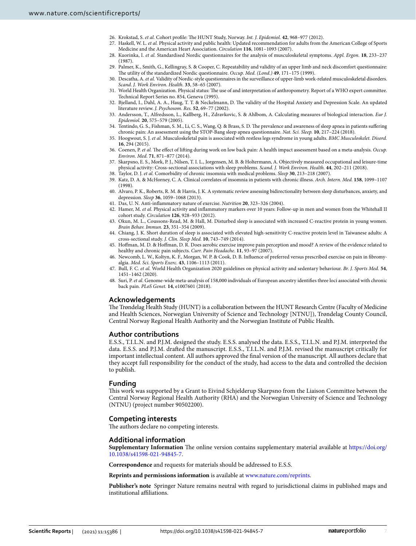- <span id="page-6-0"></span>26. Krokstad, S. et al. Cohort profile: The HUNT Study, Norway. Int. J. Epidemiol. 42, 968-977 (2012).
- <span id="page-6-1"></span>27. Haskell, W. L. *et al.* Physical activity and public health: Updated recommendation for adults from the American College of Sports Medicine and the American Heart Association. *Circulation* **116**, 1081–1093 (2007).
- <span id="page-6-2"></span>28. Kuorinka, I. *et al.* Standardised Nordic questionnaires for the analysis of musculoskeletal symptoms. *Appl. Ergon.* **18**, 233–237 (1987).
- <span id="page-6-3"></span>29. Palmer, K., Smith, G., Kellingray, S. & Cooper, C. Repeatability and validity of an upper limb and neck discomfort questionnaire: Te utility of the standardized Nordic questionnaire. *Occup. Med. (Lond.)* **49**, 171–175 (1999).
- <span id="page-6-4"></span>30. Descatha, A. *et al.* Validity of Nordic-style questionnaires in the surveillance of upper-limb work-related musculoskeletal disorders. *Scand. J. Work Environ. Health.* **33**, 58–65 (2007).
- <span id="page-6-5"></span>31. World Health Organization. Physical status: The use of and interpretation of anthropometry. Report of a WHO expert committee. Technical Report Series no. 854, Geneva (1995).
- <span id="page-6-6"></span>32. Bjelland, I., Dahl, A. A., Haug, T. T. & Neckelmann, D. The validity of the Hospital Anxiety and Depression Scale. An updated literature review. *J. Psychosom. Res.* **52**, 69–77 (2002).
- <span id="page-6-7"></span>33. Andersson, T., Alfredsson, L., Kallberg, H., Zdravkovic, S. & Ahlbom, A. Calculating measures of biological interaction. *Eur J. Epidemiol.* **20**, 575–579 (2005).
- <span id="page-6-8"></span>34. Tentindo, G. S., Fishman, S. M., Li, C. S., Wang, Q. & Brass, S. D. Te prevalence and awareness of sleep apnea in patients sufering chronic pain: An assessment using the STOP-Bang sleep apnea questionnaire. *Nat. Sci. Sleep.* **10**, 217–224 (2018).
- <span id="page-6-9"></span>35. Hoogwout, S. J. *et al.* Musculoskeletal pain is associated with restless legs syndrome in young adults. *BMC Musculoskelet. Disord.* **16**, 294 (2015).
- <span id="page-6-10"></span>36. Coenen, P. et al. The effect of lifting during work on low back pain: A health impact assessment based on a meta-analysis. Occup. *Environ. Med.* **71**, 871–877 (2014).
- <span id="page-6-11"></span>37. Skarpsno, E. S., Mork, P. J., Nilsen, T. I. L., Jorgensen, M. B. & Holtermann, A. Objectively measured occupational and leisure-time physical activity: Cross-sectional associations with sleep problems. *Scand. J. Work Environ. Health.* **44**, 202–211 (2018).
- <span id="page-6-12"></span>38. Taylor, D. J. *et al.* Comorbidity of chronic insomnia with medical problems. *Sleep* **30**, 213–218 (2007).
- 39. Katz, D. A. & McHorney, C. A. Clinical correlates of insomnia in patients with chronic illness. *Arch. Intern. Med.* **158**, 1099–1107 (1998).
- <span id="page-6-13"></span>40. Alvaro, P. K., Roberts, R. M. & Harris, J. K. A systematic review assessing bidirectionality between sleep disturbances, anxiety, and depression. *Sleep* **36**, 1059–1068 (2013).
- <span id="page-6-14"></span>41. Das, U. N. Anti-infammatory nature of exercise. *Nutrition* **20**, 323–326 (2004).
- <span id="page-6-15"></span>42. Hamer, M. *et al.* Physical activity and infammatory markers over 10 years: Follow-up in men and women from the Whitehall II cohort study. *Circulation* **126**, 928–933 (2012).
- <span id="page-6-16"></span>43. Okun, M. L., Coussons-Read, M. & Hall, M. Disturbed sleep is associated with increased C-reactive protein in young women. *Brain Behav. Immun.* **23**, 351–354 (2009).
- <span id="page-6-17"></span>44. Chiang, J. K. Short duration of sleep is associated with elevated high-sensitivity C-reactive protein level in Taiwanese adults: A cross-sectional study. *J. Clin. Sleep Med.* **10**, 743–749 (2014).
- <span id="page-6-18"></span>45. Hofman, M. D. & Hofman, D. R. Does aerobic exercise improve pain perception and mood? A review of the evidence related to healthy and chronic pain subjects. *Curr. Pain Headache.* **11**, 93–97 (2007).
- <span id="page-6-19"></span>46. Newcomb, L. W., Koltyn, K. F., Morgan, W. P. & Cook, D. B. Infuence of preferred versus prescribed exercise on pain in fbromyalgia. *Med. Sci. Sports Exerc.* **43**, 1106–1113 (2011).
- <span id="page-6-20"></span>47. Bull, F. C. *et al.* World Health Organization 2020 guidelines on physical activity and sedentary behaviour. *Br. J. Sports Med.* **54**, 1451–1462 (2020).
- <span id="page-6-21"></span>48. Suri, P. *et al.* Genome-wide meta-analysis of 158,000 individuals of European ancestry identifes three loci associated with chronic back pain. *PLoS Genet.* **14**, e1007601 (2018).

# **Acknowledgements**

The Trøndelag Health Study (HUNT) is a collaboration between the HUNT Research Centre (Faculty of Medicine and Health Sciences, Norwegian University of Science and Technology [NTNU]), Trøndelag County Council, Central Norway Regional Health Authority and the Norwegian Institute of Public Health.

# **Author contributions**

E.S.S., T.I.L.N. and P.J.M. designed the study. E.S.S. analysed the data. E.S.S., T.I.L.N. and P.J.M. interpreted the data. E.S.S. and P.J.M. drafed the manuscript. E.S.S., T.I.L.N. and P.J.M. revised the manuscript critically for important intellectual content. All authors approved the fnal version of the manuscript. All authors declare that they accept full responsibility for the conduct of the study, had access to the data and controlled the decision to publish.

# **Funding**

Tis work was supported by a Grant to Eivind Schjelderup Skarpsno from the Liaison Committee between the Central Norway Regional Health Authority (RHA) and the Norwegian University of Science and Technology (NTNU) (project number 90502200).

# **Competing interests**

The authors declare no competing interests.

# **Additional information**

**Supplementary Information** The online version contains supplementary material available at [https://doi.org/](https://doi.org/10.1038/s41598-021-94845-7) [10.1038/s41598-021-94845-7](https://doi.org/10.1038/s41598-021-94845-7).

**Correspondence** and requests for materials should be addressed to E.S.S.

**Reprints and permissions information** is available at [www.nature.com/reprints.](www.nature.com/reprints)

**Publisher's note** Springer Nature remains neutral with regard to jurisdictional claims in published maps and institutional afliations.

7